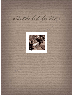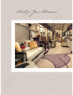Realize Jour Dreams

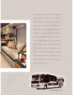

We all have dreams. Some of us dream of adding more adventure to our  $(lives)$ . Others dream of breaking  $\int \phi(t) dt$  the chains of routine. Still others dream of embarking on a more fulfilling life journey. Whatever your particular dream may be, the all-new Wanderlodge LXi will set you on the right course to turn that dream into a reality. Each day will brim over with opportunity and possibility. No rules. No limits. No boundaries. Just the  $\diamondsuit$  unlimited freedom to go wherever your dreams may take you. Do you dare to realize your dreams?

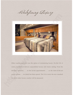Redefining Luxury



Other coaches may give you the option of customizing luxury. On the LXi, it comes standard. It delivers unparalleled luxury and classic styling. From the designer cabinetry . . . to the lavish appointments . . . to the state-of-the-art sound system . . . no detail has been spared. The LXi is truly the new standard which other luxury coaches will be measured.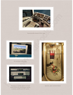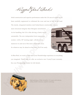Rugged Good Pooks

Solid construction and superior performance make the LXi one-of-a-kind. It has been carefully engineered to withstand the wear and tear of life on the road. The sturdy, integrated stainless steel body/chassis construction ensures more structural integrity than fiberglass motorhomes. As for handling, the LXi is like driving a finely tuned automobile. The new independent front suspension system - with a 54° turning angle - allows you to maneuver in and out of the most constricted areas. So whatever may lie ahead on the road, you'll be ready.

At Blue Bird, we want to make sure your Wanderlodge experience is everything you imagined. That's why we offer an exclusive new 5-year/3-year warranty. See your Wanderlodge dealer for full details.



*High performance 525hp Caterpillar C13 engine with industry leading ACERT emissions-compliant technology*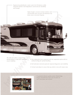*Engineered specifically for a motor coach, the LXi features a fully integrated stainless steel body/chassis construction for durability and strength*

*High-strength, corrosion-resistant stainless steel structure/skin and a one-piece all aluminum roof frame ensure structural integrity*

*The slide-outs utilize a unique linear bearing design to create more space and ensure reliability*

- *New independent front suspension and rear suspension system with six outboard airbags for optimal handling*
- *Full multi-plex electrical system for improved diagnostics and reliability*
- *Vertical roof exhaust to ensure that any vehicle in tow will remain clean*

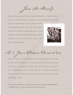Join the Family

Owning a Wanderlodge LXi doesn't just open the door to a whole new life. It

allows you to become a part of the industry's most welcoming motor coach

family: the Wanderlodge Family of Friends. With a well-established member roster, they enjoy special benefits and amenities, plus the opportunity to share experiences with other Wanderlodge owners at rallies throughout the year-including our Rally in  $(t)$ he Valley. Come join the fun.



 $\mathscr{A}$  is your Dream Came True

Here's your chance to realize the dream of owning a Wanderlodge. To help you get started on the journey, we're extending a personal invitation to you to come tour our manufacturing facility. We'd also like to encourage you to visit a Wanderlodge dealer to test drive the LXi. You'll discover firsthand what owning a Wanderlodge can mean to you and your family. Isn't it time to fulfill your dreams?

*To schedule a plant tour, or find a dealer near you, contact Wanderlodge at 1-800-486-7122, or visit us online at www.blue-bird.com.*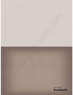